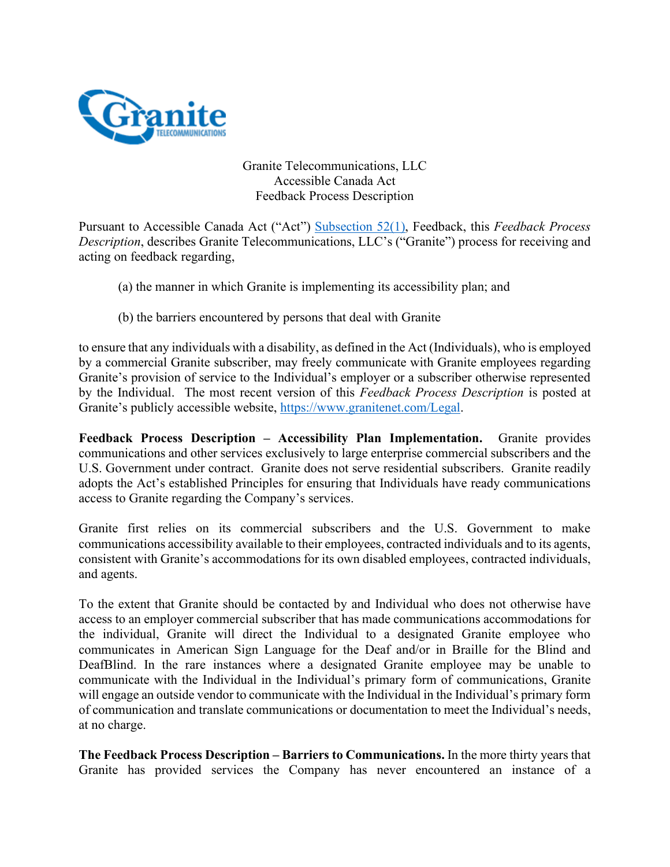

Granite Telecommunications, LLC Accessible Canada Act Feedback Process Description

Pursuant to Accessible Canada Act ("Act") Subsection 52(1), Feedback, this *Feedback Process Description*, describes Granite Telecommunications, LLC's ("Granite") process for receiving and acting on feedback regarding,

- (a) the manner in which Granite is implementing its accessibility plan; and
- (b) the barriers encountered by persons that deal with Granite

to ensure that any individuals with a disability, as defined in the Act (Individuals), who is employed by a commercial Granite subscriber, may freely communicate with Granite employees regarding Granite's provision of service to the Individual's employer or a subscriber otherwise represented by the Individual. The most recent version of this *Feedback Process Description* is posted at Granite's publicly accessible website, https://www.granitenet.com/Legal.

**Feedback Process Description – Accessibility Plan Implementation.** Granite provides communications and other services exclusively to large enterprise commercial subscribers and the U.S. Government under contract. Granite does not serve residential subscribers. Granite readily adopts the Act's established Principles for ensuring that Individuals have ready communications access to Granite regarding the Company's services.

Granite first relies on its commercial subscribers and the U.S. Government to make communications accessibility available to their employees, contracted individuals and to its agents, consistent with Granite's accommodations for its own disabled employees, contracted individuals, and agents.

To the extent that Granite should be contacted by and Individual who does not otherwise have access to an employer commercial subscriber that has made communications accommodations for the individual, Granite will direct the Individual to a designated Granite employee who communicates in American Sign Language for the Deaf and/or in Braille for the Blind and DeafBlind. In the rare instances where a designated Granite employee may be unable to communicate with the Individual in the Individual's primary form of communications, Granite will engage an outside vendor to communicate with the Individual in the Individual's primary form of communication and translate communications or documentation to meet the Individual's needs, at no charge.

**The Feedback Process Description – Barriers to Communications.** In the more thirty years that Granite has provided services the Company has never encountered an instance of a